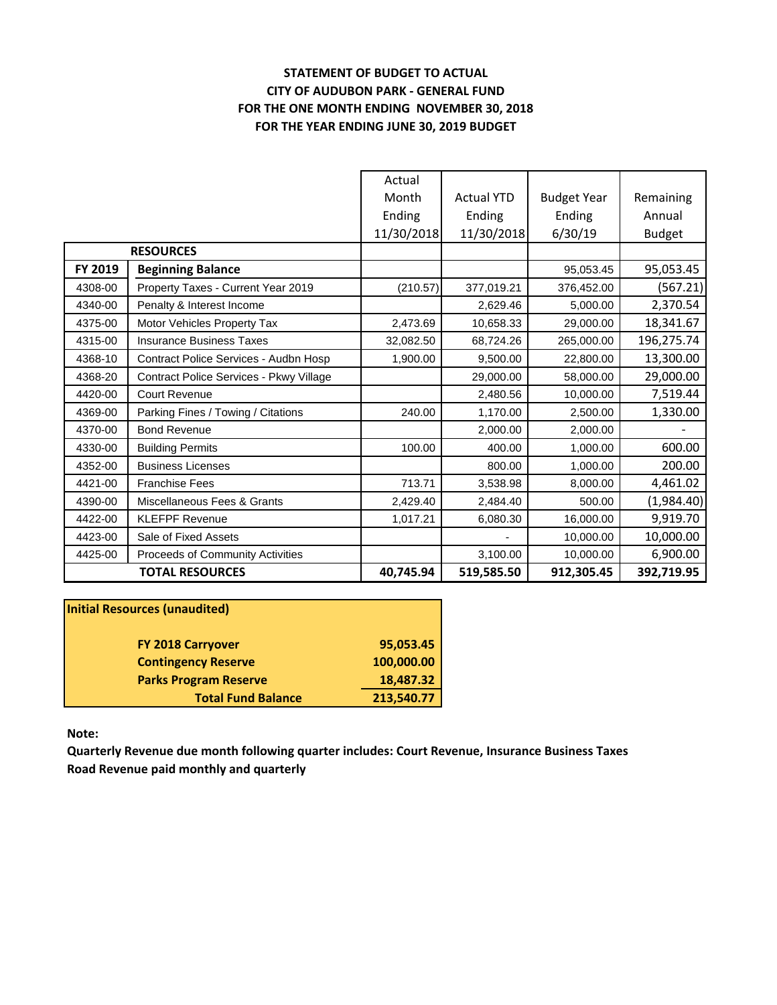# **STATEMENT OF BUDGET TO ACTUAL CITY OF AUDUBON PARK - GENERAL FUND FOR THE ONE MONTH ENDING NOVEMBER 30, 2018 FOR THE YEAR ENDING JUNE 30, 2019 BUDGET**

|         |                                         | Actual     |                   |                    |               |
|---------|-----------------------------------------|------------|-------------------|--------------------|---------------|
|         |                                         | Month      | <b>Actual YTD</b> | <b>Budget Year</b> | Remaining     |
|         |                                         | Ending     | Ending            | Ending             | Annual        |
|         |                                         | 11/30/2018 | 11/30/2018        | 6/30/19            | <b>Budget</b> |
|         | <b>RESOURCES</b>                        |            |                   |                    |               |
| FY 2019 | <b>Beginning Balance</b>                |            |                   | 95,053.45          | 95,053.45     |
| 4308-00 | Property Taxes - Current Year 2019      | (210.57)   | 377,019.21        | 376,452.00         | (567.21)      |
| 4340-00 | Penalty & Interest Income               |            | 2,629.46          | 5,000.00           | 2,370.54      |
| 4375-00 | Motor Vehicles Property Tax             | 2,473.69   | 10,658.33         | 29,000.00          | 18,341.67     |
| 4315-00 | <b>Insurance Business Taxes</b>         | 32,082.50  | 68,724.26         | 265,000.00         | 196,275.74    |
| 4368-10 | Contract Police Services - Audbn Hosp   | 1.900.00   | 9.500.00          | 22,800.00          | 13,300.00     |
| 4368-20 | Contract Police Services - Pkwy Village |            | 29,000.00         | 58,000.00          | 29,000.00     |
| 4420-00 | <b>Court Revenue</b>                    |            | 2,480.56          | 10,000.00          | 7,519.44      |
| 4369-00 | Parking Fines / Towing / Citations      | 240.00     | 1,170.00          | 2,500.00           | 1,330.00      |
| 4370-00 | <b>Bond Revenue</b>                     |            | 2,000.00          | 2,000.00           |               |
| 4330-00 | <b>Building Permits</b>                 | 100.00     | 400.00            | 1,000.00           | 600.00        |
| 4352-00 | <b>Business Licenses</b>                |            | 800.00            | 1,000.00           | 200.00        |
| 4421-00 | <b>Franchise Fees</b>                   | 713.71     | 3,538.98          | 8,000.00           | 4,461.02      |
| 4390-00 | Miscellaneous Fees & Grants             | 2,429.40   | 2,484.40          | 500.00             | (1,984.40)    |
| 4422-00 | <b>KLEFPF Revenue</b>                   | 1,017.21   | 6,080.30          | 16,000.00          | 9,919.70      |
| 4423-00 | Sale of Fixed Assets                    |            |                   | 10,000.00          | 10,000.00     |
| 4425-00 | Proceeds of Community Activities        |            | 3,100.00          | 10,000.00          | 6,900.00      |
|         | <b>TOTAL RESOURCES</b>                  | 40,745.94  | 519,585.50        | 912,305.45         | 392,719.95    |

| <b>Initial Resources (unaudited)</b> |            |  |  |  |
|--------------------------------------|------------|--|--|--|
| <b>FY 2018 Carryover</b>             | 95,053.45  |  |  |  |
| <b>Contingency Reserve</b>           | 100,000.00 |  |  |  |
| <b>Parks Program Reserve</b>         | 18,487.32  |  |  |  |
| <b>Total Fund Balance</b>            | 213,540.77 |  |  |  |

**Note:**

**Quarterly Revenue due month following quarter includes: Court Revenue, Insurance Business Taxes Road Revenue paid monthly and quarterly**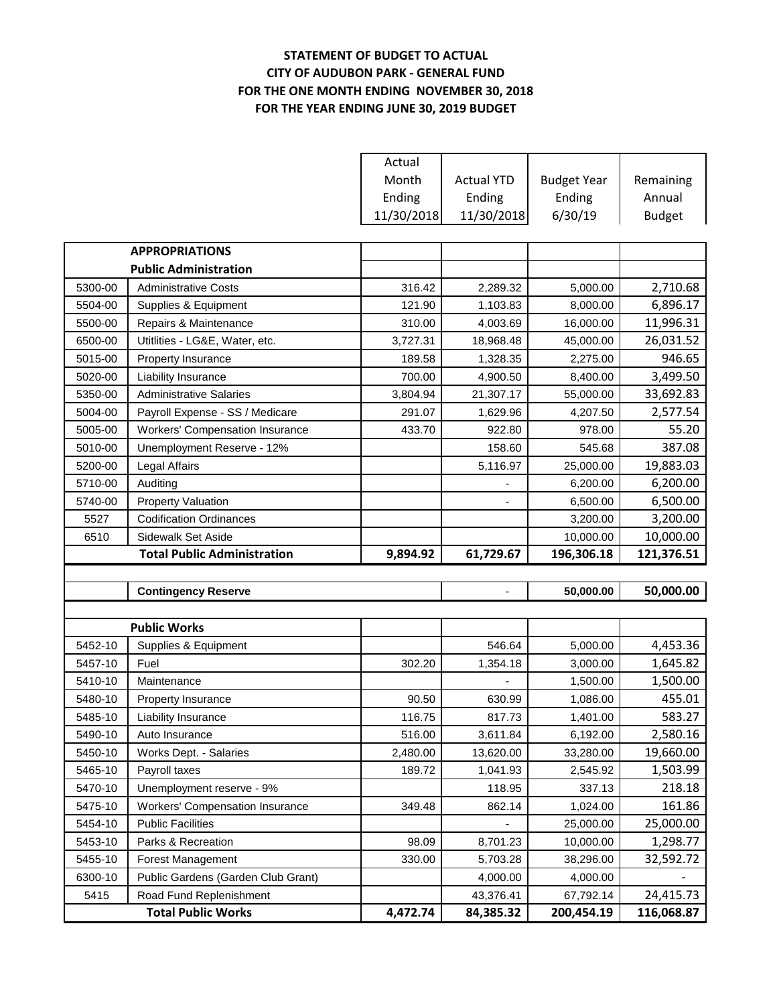# **STATEMENT OF BUDGET TO ACTUAL CITY OF AUDUBON PARK - GENERAL FUND FOR THE ONE MONTH ENDING NOVEMBER 30, 2018 FOR THE YEAR ENDING JUNE 30, 2019 BUDGET**

|         |                                        | Actual     |                   |                    |               |
|---------|----------------------------------------|------------|-------------------|--------------------|---------------|
|         |                                        | Month      | <b>Actual YTD</b> | <b>Budget Year</b> | Remaining     |
|         |                                        | Ending     | Ending            | Ending             | Annual        |
|         |                                        | 11/30/2018 | 11/30/2018        | 6/30/19            | <b>Budget</b> |
|         |                                        |            |                   |                    |               |
|         | <b>APPROPRIATIONS</b>                  |            |                   |                    |               |
|         | <b>Public Administration</b>           |            |                   |                    |               |
| 5300-00 | <b>Administrative Costs</b>            | 316.42     | 2,289.32          | 5,000.00           | 2,710.68      |
| 5504-00 | Supplies & Equipment                   | 121.90     | 1,103.83          | 8,000.00           | 6,896.17      |
| 5500-00 | Repairs & Maintenance                  | 310.00     | 4,003.69          | 16,000.00          | 11,996.31     |
| 6500-00 | Utitlities - LG&E, Water, etc.         | 3,727.31   | 18,968.48         | 45,000.00          | 26,031.52     |
| 5015-00 | Property Insurance                     | 189.58     | 1,328.35          | 2,275.00           | 946.65        |
| 5020-00 | Liability Insurance                    | 700.00     | 4,900.50          | 8,400.00           | 3,499.50      |
| 5350-00 | <b>Administrative Salaries</b>         | 3,804.94   | 21,307.17         | 55,000.00          | 33,692.83     |
| 5004-00 | Payroll Expense - SS / Medicare        | 291.07     | 1,629.96          | 4,207.50           | 2,577.54      |
| 5005-00 | <b>Workers' Compensation Insurance</b> | 433.70     | 922.80            | 978.00             | 55.20         |
| 5010-00 | Unemployment Reserve - 12%             |            | 158.60            | 545.68             | 387.08        |
| 5200-00 | Legal Affairs                          |            | 5,116.97          | 25,000.00          | 19,883.03     |
| 5710-00 | Auditing                               |            |                   | 6,200.00           | 6,200.00      |
| 5740-00 | <b>Property Valuation</b>              |            |                   | 6,500.00           | 6,500.00      |
| 5527    | <b>Codification Ordinances</b>         |            |                   | 3,200.00           | 3,200.00      |
| 6510    | Sidewalk Set Aside                     |            |                   | 10,000.00          | 10,000.00     |
|         |                                        |            |                   |                    |               |
|         | <b>Total Public Administration</b>     | 9,894.92   | 61,729.67         | 196,306.18         | 121,376.51    |
|         |                                        |            |                   |                    |               |
|         | <b>Contingency Reserve</b>             |            |                   | 50,000.00          | 50,000.00     |
|         |                                        |            |                   |                    |               |
|         | <b>Public Works</b>                    |            |                   |                    |               |
| 5452-10 | Supplies & Equipment                   |            | 546.64            | 5,000.00           | 4,453.36      |
| 5457-10 | Fuel                                   | 302.20     | 1,354.18          | 3,000.00           | 1,645.82      |
| 5410-10 | Maintenance                            |            |                   | 1,500.00           | 1,500.00      |
| 5480-10 | Property Insurance                     | 90.50      | 630.99            | 1,086.00           | 455.01        |
| 5485-10 | Liability Insurance                    | 116.75     | 817.73            | 1,401.00           | 583.27        |
| 5490-10 | Auto Insurance                         | 516.00     | 3,611.84          | 6,192.00           | 2,580.16      |
| 5450-10 | Works Dept. - Salaries                 | 2,480.00   | 13,620.00         | 33,280.00          | 19,660.00     |
| 5465-10 | Payroll taxes                          | 189.72     | 1,041.93          | 2,545.92           | 1,503.99      |
| 5470-10 | Unemployment reserve - 9%              |            | 118.95            | 337.13             | 218.18        |
| 5475-10 | <b>Workers' Compensation Insurance</b> | 349.48     | 862.14            | 1,024.00           | 161.86        |
| 5454-10 | <b>Public Facilities</b>               |            |                   | 25,000.00          | 25,000.00     |
| 5453-10 | Parks & Recreation                     | 98.09      | 8,701.23          | 10,000.00          | 1,298.77      |
| 5455-10 | Forest Management                      | 330.00     | 5,703.28          | 38,296.00          | 32,592.72     |
| 6300-10 | Public Gardens (Garden Club Grant)     |            | 4,000.00          | 4,000.00           |               |
| 5415    | Road Fund Replenishment                |            | 43,376.41         | 67,792.14          | 24,415.73     |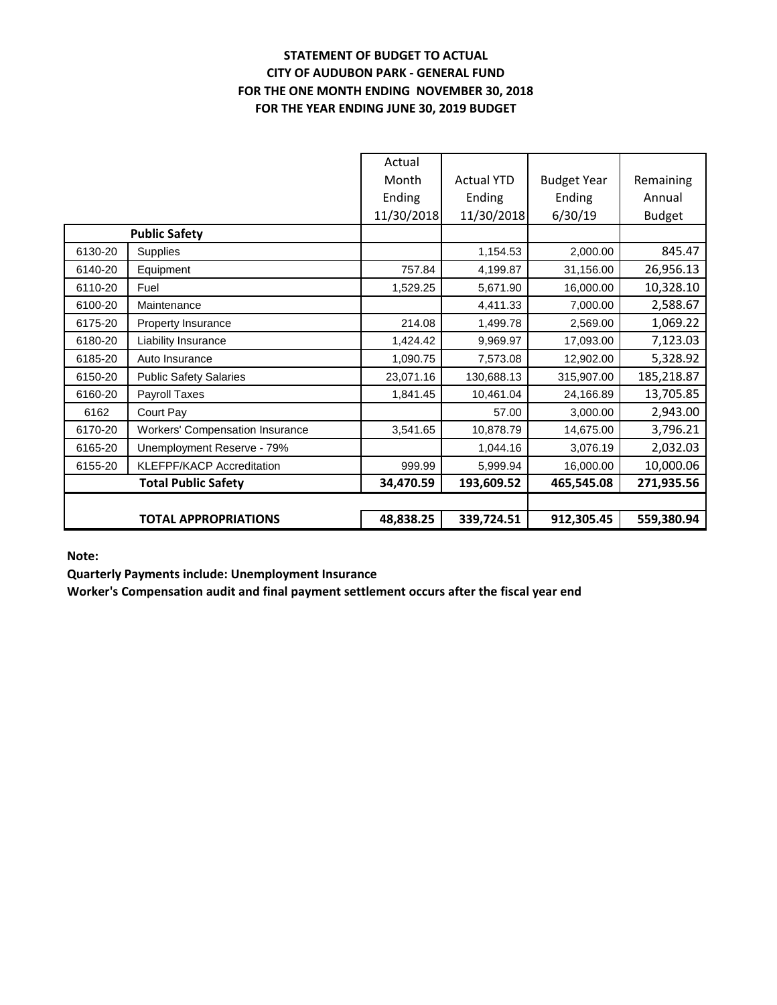# **STATEMENT OF BUDGET TO ACTUAL CITY OF AUDUBON PARK - GENERAL FUND FOR THE ONE MONTH ENDING NOVEMBER 30, 2018 FOR THE YEAR ENDING JUNE 30, 2019 BUDGET**

|         |                                        | Actual     |                   |                    |               |
|---------|----------------------------------------|------------|-------------------|--------------------|---------------|
|         |                                        | Month      | <b>Actual YTD</b> | <b>Budget Year</b> | Remaining     |
|         |                                        | Ending     | Ending            | Ending             | Annual        |
|         |                                        | 11/30/2018 | 11/30/2018        | 6/30/19            | <b>Budget</b> |
|         | <b>Public Safety</b>                   |            |                   |                    |               |
| 6130-20 | Supplies                               |            | 1,154.53          | 2,000.00           | 845.47        |
| 6140-20 | Equipment                              | 757.84     | 4,199.87          | 31,156.00          | 26,956.13     |
| 6110-20 | Fuel                                   | 1,529.25   | 5,671.90          | 16,000.00          | 10,328.10     |
| 6100-20 | Maintenance                            |            | 4,411.33          | 7,000.00           | 2,588.67      |
| 6175-20 | Property Insurance                     | 214.08     | 1,499.78          | 2,569.00           | 1,069.22      |
| 6180-20 | Liability Insurance                    | 1,424.42   | 9,969.97          | 17,093.00          | 7,123.03      |
| 6185-20 | Auto Insurance                         | 1,090.75   | 7,573.08          | 12,902.00          | 5,328.92      |
| 6150-20 | <b>Public Safety Salaries</b>          | 23,071.16  | 130,688.13        | 315,907.00         | 185,218.87    |
| 6160-20 | Payroll Taxes                          | 1,841.45   | 10,461.04         | 24,166.89          | 13,705.85     |
| 6162    | Court Pay                              |            | 57.00             | 3,000.00           | 2,943.00      |
| 6170-20 | <b>Workers' Compensation Insurance</b> | 3,541.65   | 10,878.79         | 14,675.00          | 3,796.21      |
| 6165-20 | Unemployment Reserve - 79%             |            | 1,044.16          | 3,076.19           | 2,032.03      |
| 6155-20 | <b>KLEFPF/KACP Accreditation</b>       | 999.99     | 5,999.94          | 16,000.00          | 10,000.06     |
|         | <b>Total Public Safety</b>             | 34,470.59  | 193,609.52        | 465,545.08         | 271,935.56    |
|         |                                        |            |                   |                    |               |
|         | <b>TOTAL APPROPRIATIONS</b>            | 48,838.25  | 339,724.51        | 912,305.45         | 559,380.94    |

**Note:**

**Quarterly Payments include: Unemployment Insurance**

**Worker's Compensation audit and final payment settlement occurs after the fiscal year end**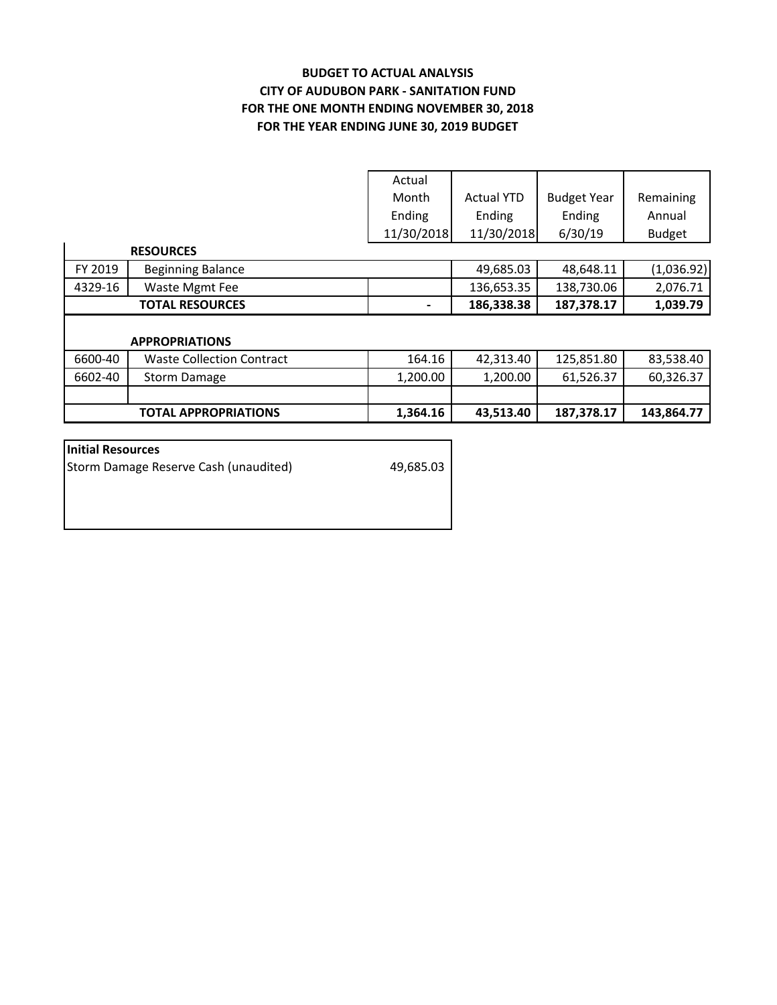# **BUDGET TO ACTUAL ANALYSIS CITY OF AUDUBON PARK - SANITATION FUND FOR THE YEAR ENDING JUNE 30, 2019 BUDGET FOR THE ONE MONTH ENDING NOVEMBER 30, 2018**

| Actual                                                                                    |                   |                    |               |
|-------------------------------------------------------------------------------------------|-------------------|--------------------|---------------|
| Month                                                                                     | <b>Actual YTD</b> | <b>Budget Year</b> | Remaining     |
| Ending                                                                                    | Ending            | Ending             | Annual        |
|                                                                                           |                   | 6/30/19            | <b>Budget</b> |
|                                                                                           |                   |                    |               |
|                                                                                           | 49,685.03         | 48,648.11          | (1,036.92)    |
|                                                                                           | 136,653.35        | 138,730.06         | 2,076.71      |
|                                                                                           | 186,338.38        | 187,378.17         | 1,039.79      |
|                                                                                           |                   |                    |               |
|                                                                                           |                   |                    |               |
| 164.16                                                                                    | 42,313.40         | 125,851.80         | 83,538.40     |
| 1,200.00                                                                                  | 1,200.00          | 61,526.37          | 60,326.37     |
|                                                                                           |                   |                    |               |
| 1,364.16                                                                                  | 43,513.40         | 187,378.17         | 143,864.77    |
| <b>TOTAL RESOURCES</b><br><b>Waste Collection Contract</b><br><b>TOTAL APPROPRIATIONS</b> |                   | 11/30/2018         | 11/30/2018    |

| <b>Initial Resources</b>              |           |
|---------------------------------------|-----------|
| Storm Damage Reserve Cash (unaudited) | 49,685.03 |
|                                       |           |
|                                       |           |
|                                       |           |
|                                       |           |